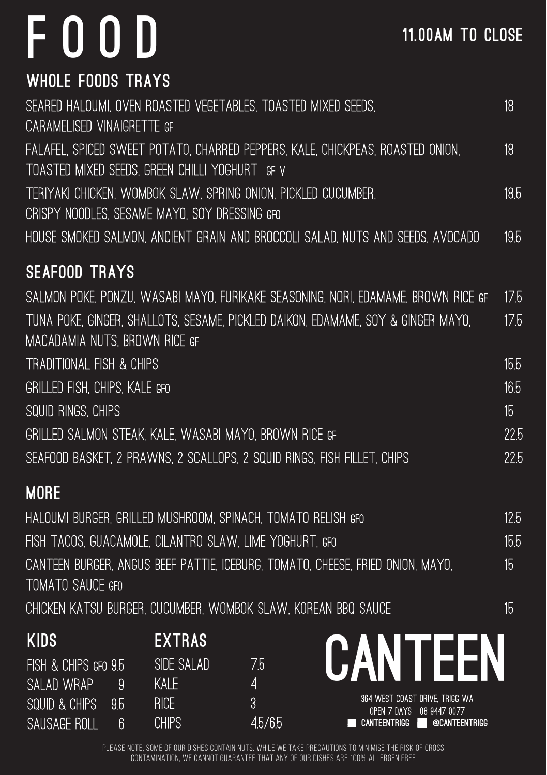## FOOD

| <b>WHOLE FOODS TRAYS</b>                                                          |                  |
|-----------------------------------------------------------------------------------|------------------|
| SEARED HALOUMI, OVEN ROASTED VEGETABLES, TOASTED MIXED SEEDS,                     | 18               |
| CARAMELISED VINAIGRETTE GF                                                        |                  |
| FALAFEL, SPICED SWEET POTATO, CHARRED PEPPERS, KALE, CHICKPEAS, ROASTED ONION,    | 18               |
| TOASTED MIXED SEEDS, GREEN CHILLI YOGHURT GF V                                    |                  |
| TERIYAKI CHICKEN, WOMBOK SLAW, SPRING ONION, PICKLED CUCUMBER,                    | 18.5             |
| CRISPY NOODLES. SESAME MAYO, SOY DRESSING GFO                                     |                  |
| HOUSE SMOKED SALMON, ANCIENT GRAIN AND BROCCOLI SALAD, NUTS AND SEEDS, AVOCADO    | 19.5             |
| <b>SEAFOOD TRAYS</b>                                                              |                  |
| SALMON POKE, PONZU, WASABI MAYO, FURIKAKE SEASONING, NORI, EDAMAME, BROWN RICE GF | 17.5             |
| TUNA POKE, GINGER, SHALLOTS, SESAME, PICKLED DAIKON, EDAMAME, SOY & GINGER MAYO,  | 17.5             |
| MACADAMIA NUTS, BROWN RICE GF                                                     |                  |
| TRADITIONAL FISH & CHIPS                                                          | 15.5             |
| GRILLED FISH, CHIPS, KALE GFO                                                     | 16.5             |
| SQUID RINGS, CHIPS                                                                | 15 <sup>1</sup>  |
| GRILLED SALMON STEAK, KALE, WASABI MAYO, BROWN RICE GF                            | 22.5             |
| SEAFOOD BASKET, 2 PRAWNS, 2 SCALLOPS, 2 SQUID RINGS, FISH FILLET, CHIPS           | 22.5             |
| <b>MORE</b>                                                                       |                  |
| HALOUMI BURGER, GRILLED MUSHROOM, SPINACH, TOMATO RELISH GFO                      | 12.5             |
| FISH TACOS, GUACAMOLE, CILANTRO SLAW, LIME YOGHURT, GFO                           | 15.5             |
| CANTEEN BURGER, ANGUS BEEF PATTIE, ICEBURG, TOMATO, CHEESE, FRIED ONION, MAYO,    | 15 <sub>15</sub> |
| TOMATO SAUCE GFO                                                                  |                  |
| CHICKEN KATSU BURGER, CUCUMBER, WOMBOK SLAW, KOREAN BBQ SAUCE                     | 15               |

| <b>KIDS</b>          |    | <b>EXTRAS</b> |       |                                                            |
|----------------------|----|---------------|-------|------------------------------------------------------------|
| FISH & CHIPS GFO 9.5 |    | SIDE SALAD    | 75    | CANTEEN                                                    |
| SALAD WRAP           |    | Kale:         |       |                                                            |
| SQUID & CHIPS        | 95 | <b>RICE</b>   | 9     | 364 WEST COAST DRIVE. TRIGG WA<br>OPEN 7 DAYS 08 9447 0077 |
| <b>SAUSAGE ROLL</b>  | R  | <b>CHIPS</b>  | 45/65 | CANTEENTRIGG<br><b>@CANTEENTRIGG</b>                       |

PLEASE NOTE, SOME OF OUR DISHES CONTAIN NUTS. WHILE WE TAKE PRECAUTIONS TO MINIMISE THE RISK OF CROSS CONTAMINATION, WE CANNOT GUARANTEE THAT ANY OF OUR DISHES ARE 100% ALLERGEN FREE